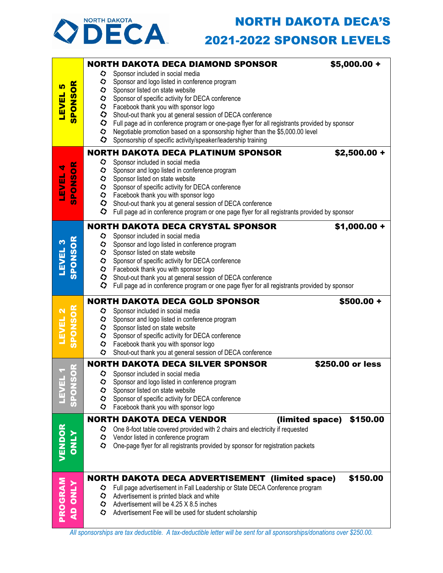## NORTH DAKOTA DECA'S



## 2021-2022 SPONSOR LEVELS

|                                      |           | <b>NORTH DAKOTA DECA DIAMOND SPONSOR</b>                                                                                       | $$5,000.00 +$    |  |  |  |
|--------------------------------------|-----------|--------------------------------------------------------------------------------------------------------------------------------|------------------|--|--|--|
|                                      | ◇         | Sponsor included in social media                                                                                               |                  |  |  |  |
| <b>SPONSOR</b><br><u> ທ</u><br>LEVEL | ◇         | Sponsor and logo listed in conference program                                                                                  |                  |  |  |  |
|                                      | $\bullet$ | Sponsor listed on state website<br>Sponsor of specific activity for DECA conference                                            |                  |  |  |  |
|                                      | $\bullet$ | Facebook thank you with sponsor logo                                                                                           |                  |  |  |  |
|                                      | $\bullet$ | Shout-out thank you at general session of DECA conference                                                                      |                  |  |  |  |
|                                      |           | If $\bullet$ Full page ad in conference program or one-page flyer for all registrants provided by sponsor                      |                  |  |  |  |
|                                      | $\bullet$ | Negotiable promotion based on a sponsorship higher than the \$5,000.00 level                                                   |                  |  |  |  |
|                                      | $\bullet$ | Sponsorship of specific activity/speaker/leadership training                                                                   |                  |  |  |  |
|                                      |           | <b>NORTH DAKOTA DECA PLATINUM SPONSOR</b>                                                                                      | $$2,500.00 +$    |  |  |  |
|                                      | ◇         | Sponsor included in social media                                                                                               |                  |  |  |  |
|                                      |           | Sponsor and logo listed in conference program<br>Sponsor listed on state website                                               |                  |  |  |  |
| <b>SPONSOR</b><br>LEVEL 4            |           | Sponsor of specific activity for DECA conference                                                                               |                  |  |  |  |
|                                      |           | $\Diamond$ Facebook thank you with sponsor logo                                                                                |                  |  |  |  |
|                                      |           | Shout-out thank you at general session of DECA conference                                                                      |                  |  |  |  |
|                                      |           | ◇<br>Full page ad in conference program or one page flyer for all registrants provided by sponsor                              |                  |  |  |  |
|                                      |           | <b>NORTH DAKOTA DECA CRYSTAL SPONSOR</b>                                                                                       | $$1,000.00 +$    |  |  |  |
|                                      | $\bullet$ | Sponsor included in social media                                                                                               |                  |  |  |  |
|                                      |           | Sponsor and logo listed in conference program                                                                                  |                  |  |  |  |
| <b>SPONSOR</b><br><b>TEAET 3</b>     |           | Sponsor listed on state website                                                                                                |                  |  |  |  |
|                                      |           | Sponsor of specific activity for DECA conference                                                                               |                  |  |  |  |
|                                      |           | $\bullet$ Facebook thank you with sponsor logo<br>Shout-out thank you at general session of DECA conference                    |                  |  |  |  |
|                                      | $\bullet$ | Full page ad in conference program or one page flyer for all registrants provided by sponsor                                   |                  |  |  |  |
|                                      |           |                                                                                                                                |                  |  |  |  |
|                                      |           |                                                                                                                                |                  |  |  |  |
|                                      |           | <b>NORTH DAKOTA DECA GOLD SPONSOR</b>                                                                                          | $$500.00 +$      |  |  |  |
|                                      | ◇         | Sponsor included in social media                                                                                               |                  |  |  |  |
|                                      |           | Sponsor and logo listed in conference program                                                                                  |                  |  |  |  |
|                                      |           | Sponsor listed on state website                                                                                                |                  |  |  |  |
| <b>SPONSOR</b><br>LEVEL 2            |           | Sponsor of specific activity for DECA conference<br>The Facebook thank you with sponsor logo                                   |                  |  |  |  |
|                                      | ◇         | Shout-out thank you at general session of DECA conference                                                                      |                  |  |  |  |
| r2                                   |           | <b>NORTH DAKOTA DECA SILVER SPONSOR</b>                                                                                        | \$250.00 or less |  |  |  |
|                                      |           | Sponsor included in social media                                                                                               |                  |  |  |  |
| $\overline{S}$                       | $\Omega$  | Sponsor and logo listed in conference program                                                                                  |                  |  |  |  |
|                                      | ◇         | Sponsor listed on state website                                                                                                |                  |  |  |  |
|                                      | ◇<br>♦    | Sponsor of specific activity for DECA conference                                                                               |                  |  |  |  |
|                                      |           | Facebook thank you with sponsor logo                                                                                           |                  |  |  |  |
|                                      |           | <b>NORTH DAKOTA DECA VENDOR</b><br>(limited space)                                                                             | \$150.00         |  |  |  |
|                                      | $\bullet$ | One 8-foot table covered provided with 2 chairs and electricity if requested<br>$\Diamond$ Vendor listed in conference program |                  |  |  |  |
|                                      | ◇         | One-page flyer for all registrants provided by sponsor for registration packets                                                |                  |  |  |  |
| VENDOR                               |           |                                                                                                                                |                  |  |  |  |
|                                      |           |                                                                                                                                |                  |  |  |  |
|                                      |           | <b>NORTH DAKOTA DECA ADVERTISEMENT (limited space)</b>                                                                         | \$150.00         |  |  |  |
|                                      | ♡         | Full page advertisement in Fall Leadership or State DECA Conference program                                                    |                  |  |  |  |
|                                      | $\bullet$ | Advertisement is printed black and white                                                                                       |                  |  |  |  |
|                                      | ◇         | Advertisement will be 4.25 X 8.5 inches                                                                                        |                  |  |  |  |
| PROGRAM<br><b>AD ONLY</b>            | ◇         | Advertisement Fee will be used for student scholarship                                                                         |                  |  |  |  |

*All sponsorships are tax deductible. A tax-deductible letter will be sent for all sponsorships/donations over \$250.00.*